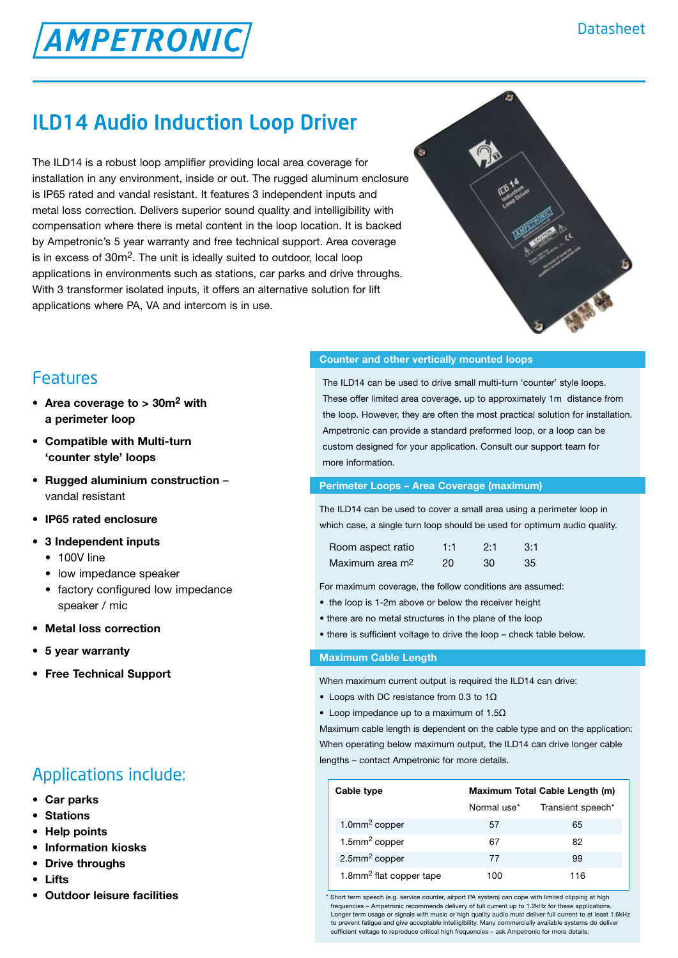# **AMPETRONIC**

# ILD14 Audio Induction Loop Driver

The ILD14 is a robust loop amplifier providing local area coverage for installation in any environment, inside or out. The rugged aluminum enclosure is IP65 rated and vandal resistant. It features 3 independent inputs and metal loss correction. Delivers superior sound quality and intelligibility with compensation where there is metal content in the loop location. It is backed by Ampetronic's 5 year warranty and free technical support. Area coverage is in excess of  $30m^2$ . The unit is ideally suited to outdoor, local loop applications in environments such as stations, car parks and drive throughs. With 3 transformer isolated inputs, it offers an alternative solution for lift applications where PA, VA and intercom is in use.



### Features

- **• Area coverage to > 30m2 with a perimeter loop**
- • **Compatible with Multi-turn 'counter style' loops**
- **• Rugged aluminium construction** vandal resistant
- **• IP65 rated enclosure**
- • **3 Independent inputs**
	- 100V line
	- low impedance speaker
	- factory configured low impedance speaker / mic
- **Metal loss correction**
- **• 5 year warranty**
- **• Free Technical Support**

### Applications include:

- **• Car parks**
- **• Stations**
- **• Help points**
- **• Information kiosks**
- **• Drive throughs**
- **• Lifts**
- **• Outdoor leisure facilities**

### **Counter and other vertically mounted loops**

The ILD14 can be used to drive small multi-turn 'counter' style loops. These offer limited area coverage, up to approximately 1m distance from the loop. However, they are often the most practical solution for installation. Ampetronic can provide a standard preformed loop, or a loop can be custom designed for your application. Consult our support team for more information.

### **Perimeter Loops – Area Coverage (maximum)**

The ILD14 can be used to cover a small area using a perimeter loop in which case, a single turn loop should be used for optimum audio quality.

| Room aspect ratio           | 1:1 | 2:1 | 3:1 |
|-----------------------------|-----|-----|-----|
| Maximum area m <sup>2</sup> | 20  | 30  | 35  |

For maximum coverage, the follow conditions are assumed:

- the loop is 1-2m above or below the receiver height
- there are no metal structures in the plane of the loop
- there is sufficient voltage to drive the loop check table below.

### **Maximum Cable Length**

When maximum current output is required the ILD14 can drive:

- Loops with DC resistance from 0.3 to 1Ω
- Loop impedance up to a maximum of  $1.5\Omega$

Maximum cable length is dependent on the cable type and on the application: When operating below maximum output, the ILD14 can drive longer cable lengths – contact Ampetronic for more details.

| Cable type                          | Maximum Total Cable Length (m) |                   |  |
|-------------------------------------|--------------------------------|-------------------|--|
|                                     | Normal use*                    | Transient speech* |  |
| $1.0$ mm <sup>2</sup> copper        | 57                             | 65                |  |
| $1.5$ mm <sup>2</sup> copper        | 67                             | 82                |  |
| $2.5$ mm <sup>2</sup> copper        | 77                             | 99                |  |
| 1.8mm <sup>2</sup> flat copper tape | 100                            | 116               |  |

\* Short term speech (e.g. service counter, airport PA system) can cope with limited clipping at high frequencies – Ampetronic recommends delivery of full current up to 1.2kHz for these ap Longer term usage or signals with music or high quality audio must deliver full current to at least 1.6kHz to prevent fatigue and give acceptable intelligibility. Many commercially available systems do deliver sufficient voltage to reproduce critical high frequencies – ask Ampetronic for more details